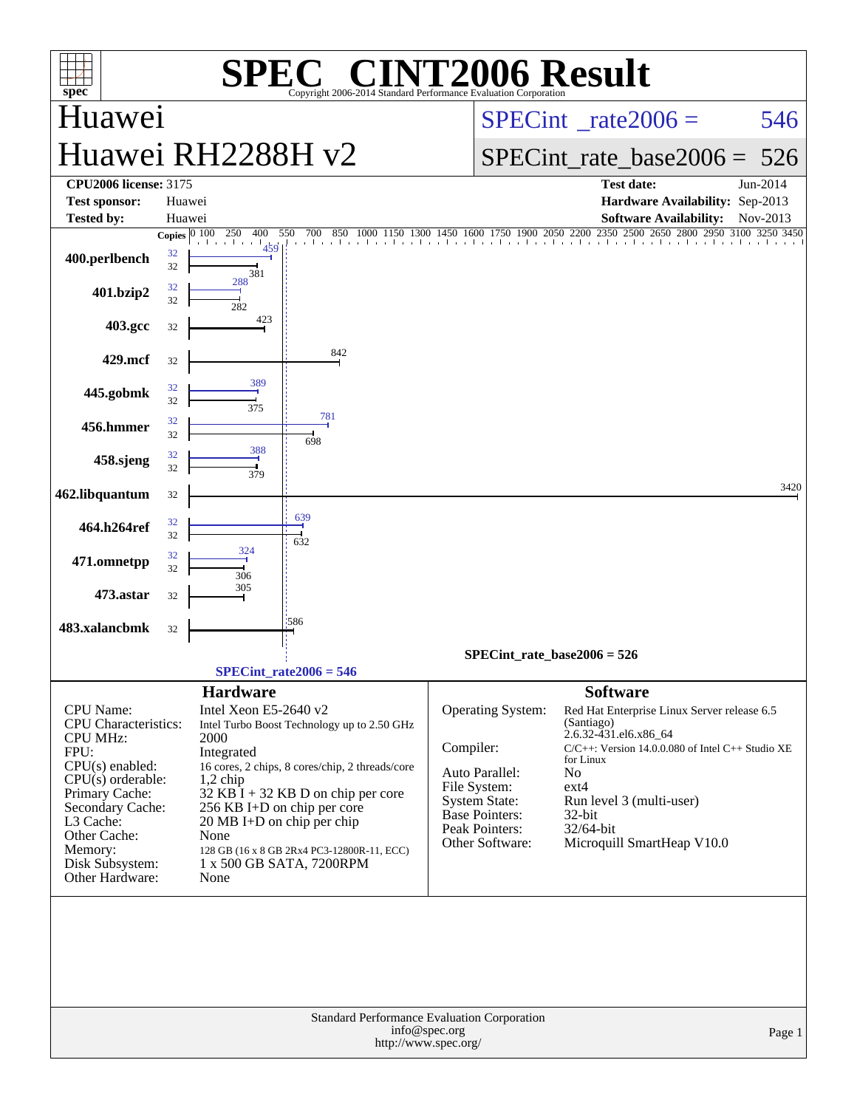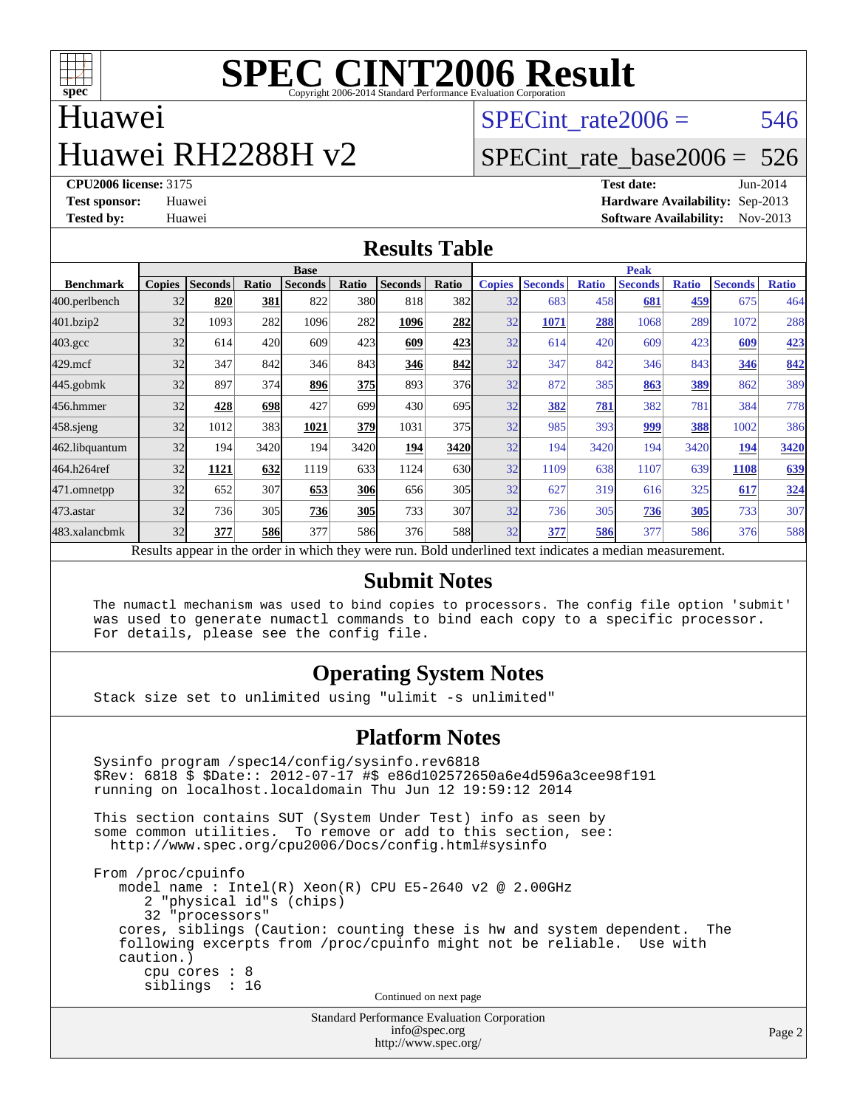

### Huawei

# Huawei RH2288H v2

SPECint rate $2006 = 546$ 

#### [SPECint\\_rate\\_base2006 =](http://www.spec.org/auto/cpu2006/Docs/result-fields.html#SPECintratebase2006) 526

**[CPU2006 license:](http://www.spec.org/auto/cpu2006/Docs/result-fields.html#CPU2006license)** 3175 **[Test date:](http://www.spec.org/auto/cpu2006/Docs/result-fields.html#Testdate)** Jun-2014 **[Test sponsor:](http://www.spec.org/auto/cpu2006/Docs/result-fields.html#Testsponsor)** Huawei **[Hardware Availability:](http://www.spec.org/auto/cpu2006/Docs/result-fields.html#HardwareAvailability)** Sep-2013 **[Tested by:](http://www.spec.org/auto/cpu2006/Docs/result-fields.html#Testedby)** Huawei **[Software Availability:](http://www.spec.org/auto/cpu2006/Docs/result-fields.html#SoftwareAvailability)** Nov-2013

#### **[Results Table](http://www.spec.org/auto/cpu2006/Docs/result-fields.html#ResultsTable)**

|                    | <b>Base</b>   |                |       |                                                                                                          |       |                |       |               | <b>Peak</b>    |              |                |              |                |              |  |
|--------------------|---------------|----------------|-------|----------------------------------------------------------------------------------------------------------|-------|----------------|-------|---------------|----------------|--------------|----------------|--------------|----------------|--------------|--|
| <b>Benchmark</b>   | <b>Copies</b> | <b>Seconds</b> | Ratio | <b>Seconds</b>                                                                                           | Ratio | <b>Seconds</b> | Ratio | <b>Copies</b> | <b>Seconds</b> | <b>Ratio</b> | <b>Seconds</b> | <b>Ratio</b> | <b>Seconds</b> | <b>Ratio</b> |  |
| 400.perlbench      | 32            | 820            | 381   | 822                                                                                                      | 380   | 818            | 382l  | 32            | 683            | 458          | 681            | 459          | 675            | 464          |  |
| 401.bzip2          | 32            | 1093           | 282   | 1096                                                                                                     | 282   | 1096           | 282   | 32            | 1071           | 288          | 1068           | 289          | 1072           | 288          |  |
| $403.\mathrm{gcc}$ | 32            | 614            | 420   | 609                                                                                                      | 423   | 609            | 423   | 32            | 614            | 420          | 609            | 423          | 609            | 423          |  |
| $429$ .mcf         | 32            | 347            | 842   | 346                                                                                                      | 843   | 346            | 842   | 32            | 347            | 842          | 346            | 843          | 346            | 842          |  |
| $445$ .gobmk       | 32            | 897            | 374   | 896                                                                                                      | 375   | 893            | 376   | 32            | 872            | 385          | 863            | <u>389</u>   | 862            | 389          |  |
| 456.hmmer          | 32            | 428            | 698   | 427                                                                                                      | 699   | 430            | 695   | 32            | 382            | 781          | 382            | 781          | 384            | 778          |  |
| $458$ .sjeng       | 32            | 1012           | 383   | 1021                                                                                                     | 379   | 1031           | 375   | 32            | 985            | 393          | 999            | 388          | 1002           | 386          |  |
| 462.libquantum     | 32            | 194            | 3420  | 194                                                                                                      | 3420  | <u>194</u>     | 3420  | 32            | 194            | 3420         | 194            | 3420         | 194            | 3420         |  |
| 464.h264ref        | 32            | 1121           | 632   | 1119                                                                                                     | 633   | 1124           | 630   | 32            | 1109           | 638          | 1107           | 639          | 1108           | 639          |  |
| 471.omnetpp        | 32            | 652            | 307   | 653                                                                                                      | 306   | 656            | 305   | 32            | 627            | 319          | 616            | 325          | 617            | 324          |  |
| $473$ . astar      | 32            | 736            | 305   | 736                                                                                                      | 305   | 733            | 307   | 32            | 736            | 305          | 736            | 305          | 733            | 307          |  |
| 483.xalancbmk      | 32            | 377            | 586   | 377                                                                                                      | 586   | 376            | 588   | 32            | 377            | 586          | 377            | 586          | 376            | 588          |  |
|                    |               |                |       | Results appear in the order in which they were run. Bold underlined text indicates a median measurement. |       |                |       |               |                |              |                |              |                |              |  |

#### **[Submit Notes](http://www.spec.org/auto/cpu2006/Docs/result-fields.html#SubmitNotes)**

 The numactl mechanism was used to bind copies to processors. The config file option 'submit' was used to generate numactl commands to bind each copy to a specific processor. For details, please see the config file.

#### **[Operating System Notes](http://www.spec.org/auto/cpu2006/Docs/result-fields.html#OperatingSystemNotes)**

Stack size set to unlimited using "ulimit -s unlimited"

#### **[Platform Notes](http://www.spec.org/auto/cpu2006/Docs/result-fields.html#PlatformNotes)**

```
Standard Performance Evaluation Corporation
 Sysinfo program /spec14/config/sysinfo.rev6818
 $Rev: 6818 $ $Date:: 2012-07-17 #$ e86d102572650a6e4d596a3cee98f191
 running on localhost.localdomain Thu Jun 12 19:59:12 2014
 This section contains SUT (System Under Test) info as seen by
some common utilities. To remove or add to this section, see:
  http://www.spec.org/cpu2006/Docs/config.html#sysinfo
 From /proc/cpuinfo
    model name : Intel(R) Xeon(R) CPU E5-2640 v2 @ 2.00GHz
       2 "physical id"s (chips)
       32 "processors"
    cores, siblings (Caution: counting these is hw and system dependent. The
    following excerpts from /proc/cpuinfo might not be reliable. Use with
    caution.)
       cpu cores : 8
       siblings : 16
                                   Continued on next page
```
[info@spec.org](mailto:info@spec.org) <http://www.spec.org/>

Page 2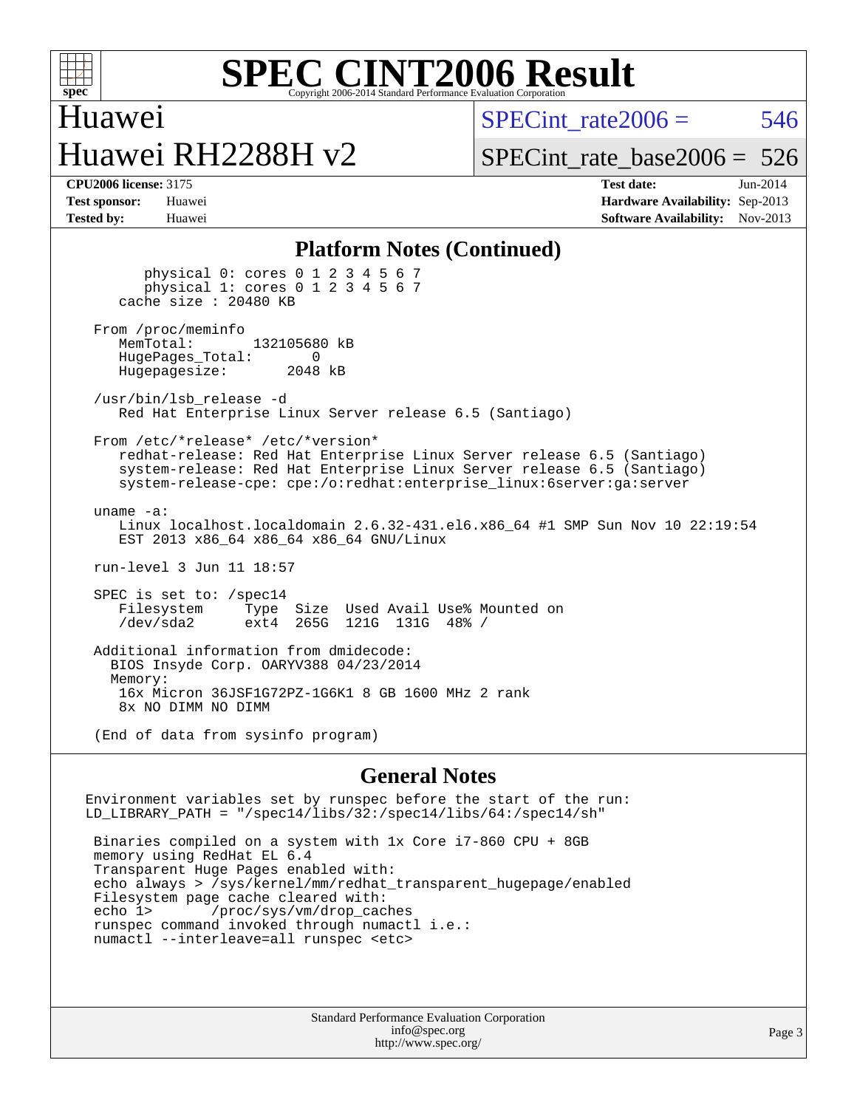

## Huawei Huawei RH2288H v2

 $SPECint rate2006 = 546$ 

[SPECint\\_rate\\_base2006 =](http://www.spec.org/auto/cpu2006/Docs/result-fields.html#SPECintratebase2006) 526

| <b>Test sponsor:</b> | Huawei |
|----------------------|--------|
| <b>Tested by:</b>    | Huawei |

**[CPU2006 license:](http://www.spec.org/auto/cpu2006/Docs/result-fields.html#CPU2006license)** 3175 **[Test date:](http://www.spec.org/auto/cpu2006/Docs/result-fields.html#Testdate)** Jun-2014 **[Hardware Availability:](http://www.spec.org/auto/cpu2006/Docs/result-fields.html#HardwareAvailability)** Sep-2013 **[Software Availability:](http://www.spec.org/auto/cpu2006/Docs/result-fields.html#SoftwareAvailability)** Nov-2013

#### **[Platform Notes \(Continued\)](http://www.spec.org/auto/cpu2006/Docs/result-fields.html#PlatformNotes)**

 physical 0: cores 0 1 2 3 4 5 6 7 physical 1: cores 0 1 2 3 4 5 6 7 cache size : 20480 KB From /proc/meminfo<br>MemTotal: 132105680 kB HugePages\_Total: 0<br>Hugepagesize: 2048 kB Hugepagesize: /usr/bin/lsb\_release -d Red Hat Enterprise Linux Server release 6.5 (Santiago) From /etc/\*release\* /etc/\*version\* redhat-release: Red Hat Enterprise Linux Server release 6.5 (Santiago) system-release: Red Hat Enterprise Linux Server release 6.5 (Santiago) system-release-cpe: cpe:/o:redhat:enterprise\_linux:6server:ga:server uname -a: Linux localhost.localdomain 2.6.32-431.el6.x86\_64 #1 SMP Sun Nov 10 22:19:54 EST 2013 x86\_64 x86\_64 x86\_64 GNU/Linux run-level 3 Jun 11 18:57 SPEC is set to: /spec14 Filesystem Type Size Used Avail Use% Mounted on<br>
/dev/sda2 ext4 265G 121G 131G 48% / /dev/sda2 ext4 265G 121G 131G 48% / Additional information from dmidecode: BIOS Insyde Corp. OARYV388 04/23/2014 Memory: 16x Micron 36JSF1G72PZ-1G6K1 8 GB 1600 MHz 2 rank 8x NO DIMM NO DIMM (End of data from sysinfo program)

#### **[General Notes](http://www.spec.org/auto/cpu2006/Docs/result-fields.html#GeneralNotes)**

Environment variables set by runspec before the start of the run: LD\_LIBRARY\_PATH = "/spec14/libs/32:/spec14/libs/64:/spec14/sh"

 Binaries compiled on a system with 1x Core i7-860 CPU + 8GB memory using RedHat EL 6.4 Transparent Huge Pages enabled with: echo always > /sys/kernel/mm/redhat\_transparent\_hugepage/enabled Filesystem page cache cleared with: echo 1> /proc/sys/vm/drop\_caches runspec command invoked through numactl i.e.: numactl --interleave=all runspec <etc>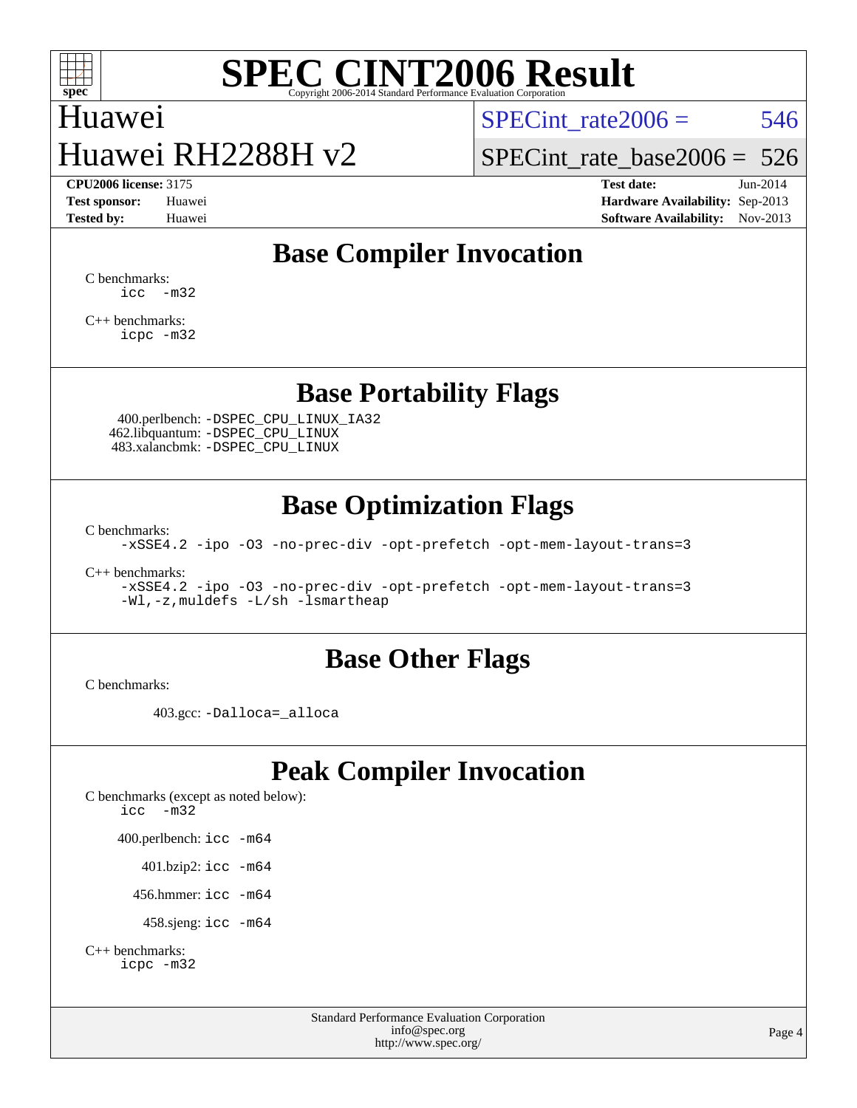

### Huawei Huawei RH2288H v2

SPECint rate $2006 = 546$ 

[SPECint\\_rate\\_base2006 =](http://www.spec.org/auto/cpu2006/Docs/result-fields.html#SPECintratebase2006) 526

**[CPU2006 license:](http://www.spec.org/auto/cpu2006/Docs/result-fields.html#CPU2006license)** 3175 **[Test date:](http://www.spec.org/auto/cpu2006/Docs/result-fields.html#Testdate)** Jun-2014 **[Test sponsor:](http://www.spec.org/auto/cpu2006/Docs/result-fields.html#Testsponsor)** Huawei **[Hardware Availability:](http://www.spec.org/auto/cpu2006/Docs/result-fields.html#HardwareAvailability)** Sep-2013 **[Tested by:](http://www.spec.org/auto/cpu2006/Docs/result-fields.html#Testedby)** Huawei **[Software Availability:](http://www.spec.org/auto/cpu2006/Docs/result-fields.html#SoftwareAvailability)** Nov-2013

#### **[Base Compiler Invocation](http://www.spec.org/auto/cpu2006/Docs/result-fields.html#BaseCompilerInvocation)**

[C benchmarks](http://www.spec.org/auto/cpu2006/Docs/result-fields.html#Cbenchmarks): [icc -m32](http://www.spec.org/cpu2006/results/res2014q3/cpu2006-20140619-29984.flags.html#user_CCbase_intel_icc_5ff4a39e364c98233615fdd38438c6f2)

[C++ benchmarks:](http://www.spec.org/auto/cpu2006/Docs/result-fields.html#CXXbenchmarks) [icpc -m32](http://www.spec.org/cpu2006/results/res2014q3/cpu2006-20140619-29984.flags.html#user_CXXbase_intel_icpc_4e5a5ef1a53fd332b3c49e69c3330699)

#### **[Base Portability Flags](http://www.spec.org/auto/cpu2006/Docs/result-fields.html#BasePortabilityFlags)**

 400.perlbench: [-DSPEC\\_CPU\\_LINUX\\_IA32](http://www.spec.org/cpu2006/results/res2014q3/cpu2006-20140619-29984.flags.html#b400.perlbench_baseCPORTABILITY_DSPEC_CPU_LINUX_IA32) 462.libquantum: [-DSPEC\\_CPU\\_LINUX](http://www.spec.org/cpu2006/results/res2014q3/cpu2006-20140619-29984.flags.html#b462.libquantum_baseCPORTABILITY_DSPEC_CPU_LINUX) 483.xalancbmk: [-DSPEC\\_CPU\\_LINUX](http://www.spec.org/cpu2006/results/res2014q3/cpu2006-20140619-29984.flags.html#b483.xalancbmk_baseCXXPORTABILITY_DSPEC_CPU_LINUX)

#### **[Base Optimization Flags](http://www.spec.org/auto/cpu2006/Docs/result-fields.html#BaseOptimizationFlags)**

[C benchmarks](http://www.spec.org/auto/cpu2006/Docs/result-fields.html#Cbenchmarks):

[-xSSE4.2](http://www.spec.org/cpu2006/results/res2014q3/cpu2006-20140619-29984.flags.html#user_CCbase_f-xSSE42_f91528193cf0b216347adb8b939d4107) [-ipo](http://www.spec.org/cpu2006/results/res2014q3/cpu2006-20140619-29984.flags.html#user_CCbase_f-ipo) [-O3](http://www.spec.org/cpu2006/results/res2014q3/cpu2006-20140619-29984.flags.html#user_CCbase_f-O3) [-no-prec-div](http://www.spec.org/cpu2006/results/res2014q3/cpu2006-20140619-29984.flags.html#user_CCbase_f-no-prec-div) [-opt-prefetch](http://www.spec.org/cpu2006/results/res2014q3/cpu2006-20140619-29984.flags.html#user_CCbase_f-opt-prefetch) [-opt-mem-layout-trans=3](http://www.spec.org/cpu2006/results/res2014q3/cpu2006-20140619-29984.flags.html#user_CCbase_f-opt-mem-layout-trans_a7b82ad4bd7abf52556d4961a2ae94d5)

[C++ benchmarks:](http://www.spec.org/auto/cpu2006/Docs/result-fields.html#CXXbenchmarks)

[-xSSE4.2](http://www.spec.org/cpu2006/results/res2014q3/cpu2006-20140619-29984.flags.html#user_CXXbase_f-xSSE42_f91528193cf0b216347adb8b939d4107) [-ipo](http://www.spec.org/cpu2006/results/res2014q3/cpu2006-20140619-29984.flags.html#user_CXXbase_f-ipo) [-O3](http://www.spec.org/cpu2006/results/res2014q3/cpu2006-20140619-29984.flags.html#user_CXXbase_f-O3) [-no-prec-div](http://www.spec.org/cpu2006/results/res2014q3/cpu2006-20140619-29984.flags.html#user_CXXbase_f-no-prec-div) [-opt-prefetch](http://www.spec.org/cpu2006/results/res2014q3/cpu2006-20140619-29984.flags.html#user_CXXbase_f-opt-prefetch) [-opt-mem-layout-trans=3](http://www.spec.org/cpu2006/results/res2014q3/cpu2006-20140619-29984.flags.html#user_CXXbase_f-opt-mem-layout-trans_a7b82ad4bd7abf52556d4961a2ae94d5) [-Wl,-z,muldefs](http://www.spec.org/cpu2006/results/res2014q3/cpu2006-20140619-29984.flags.html#user_CXXbase_link_force_multiple1_74079c344b956b9658436fd1b6dd3a8a) [-L/sh -lsmartheap](http://www.spec.org/cpu2006/results/res2014q3/cpu2006-20140619-29984.flags.html#user_CXXbase_SmartHeap_32f6c82aa1ed9c52345d30cf6e4a0499)

#### **[Base Other Flags](http://www.spec.org/auto/cpu2006/Docs/result-fields.html#BaseOtherFlags)**

[C benchmarks](http://www.spec.org/auto/cpu2006/Docs/result-fields.html#Cbenchmarks):

403.gcc: [-Dalloca=\\_alloca](http://www.spec.org/cpu2006/results/res2014q3/cpu2006-20140619-29984.flags.html#b403.gcc_baseEXTRA_CFLAGS_Dalloca_be3056838c12de2578596ca5467af7f3)

#### **[Peak Compiler Invocation](http://www.spec.org/auto/cpu2006/Docs/result-fields.html#PeakCompilerInvocation)**

[C benchmarks \(except as noted below\)](http://www.spec.org/auto/cpu2006/Docs/result-fields.html#Cbenchmarksexceptasnotedbelow): [icc -m32](http://www.spec.org/cpu2006/results/res2014q3/cpu2006-20140619-29984.flags.html#user_CCpeak_intel_icc_5ff4a39e364c98233615fdd38438c6f2) 400.perlbench: [icc -m64](http://www.spec.org/cpu2006/results/res2014q3/cpu2006-20140619-29984.flags.html#user_peakCCLD400_perlbench_intel_icc_64bit_bda6cc9af1fdbb0edc3795bac97ada53) 401.bzip2: [icc -m64](http://www.spec.org/cpu2006/results/res2014q3/cpu2006-20140619-29984.flags.html#user_peakCCLD401_bzip2_intel_icc_64bit_bda6cc9af1fdbb0edc3795bac97ada53)

456.hmmer: [icc -m64](http://www.spec.org/cpu2006/results/res2014q3/cpu2006-20140619-29984.flags.html#user_peakCCLD456_hmmer_intel_icc_64bit_bda6cc9af1fdbb0edc3795bac97ada53)

458.sjeng: [icc -m64](http://www.spec.org/cpu2006/results/res2014q3/cpu2006-20140619-29984.flags.html#user_peakCCLD458_sjeng_intel_icc_64bit_bda6cc9af1fdbb0edc3795bac97ada53)

```
C++ benchmarks: 
    icpc -m32
```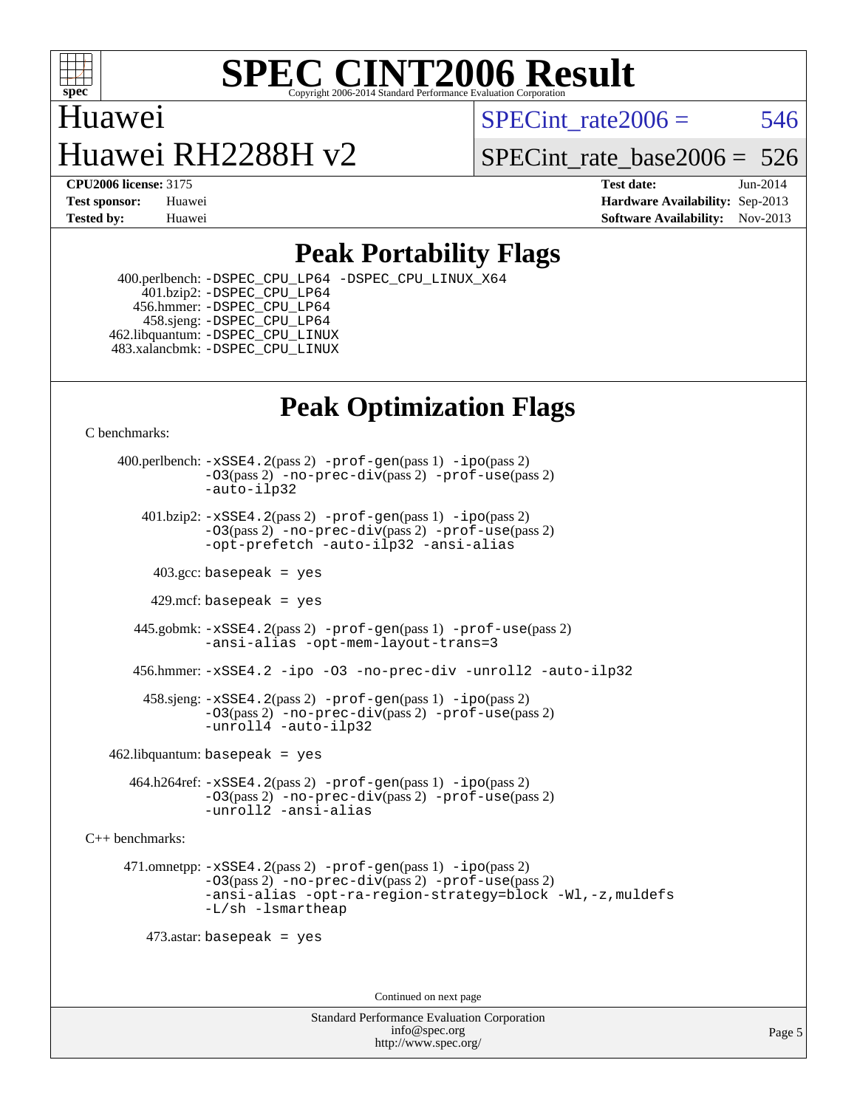

### Huawei Huawei RH2288H v2

SPECint rate $2006 = 546$ 

SPECint rate base  $2006 = 526$ 

**[CPU2006 license:](http://www.spec.org/auto/cpu2006/Docs/result-fields.html#CPU2006license)** 3175 **[Test date:](http://www.spec.org/auto/cpu2006/Docs/result-fields.html#Testdate)** Jun-2014 **[Test sponsor:](http://www.spec.org/auto/cpu2006/Docs/result-fields.html#Testsponsor)** Huawei **[Hardware Availability:](http://www.spec.org/auto/cpu2006/Docs/result-fields.html#HardwareAvailability)** Sep-2013 **[Tested by:](http://www.spec.org/auto/cpu2006/Docs/result-fields.html#Testedby)** Huawei **[Software Availability:](http://www.spec.org/auto/cpu2006/Docs/result-fields.html#SoftwareAvailability)** Nov-2013

#### **[Peak Portability Flags](http://www.spec.org/auto/cpu2006/Docs/result-fields.html#PeakPortabilityFlags)**

 400.perlbench: [-DSPEC\\_CPU\\_LP64](http://www.spec.org/cpu2006/results/res2014q3/cpu2006-20140619-29984.flags.html#b400.perlbench_peakCPORTABILITY_DSPEC_CPU_LP64) [-DSPEC\\_CPU\\_LINUX\\_X64](http://www.spec.org/cpu2006/results/res2014q3/cpu2006-20140619-29984.flags.html#b400.perlbench_peakCPORTABILITY_DSPEC_CPU_LINUX_X64) 401.bzip2: [-DSPEC\\_CPU\\_LP64](http://www.spec.org/cpu2006/results/res2014q3/cpu2006-20140619-29984.flags.html#suite_peakCPORTABILITY401_bzip2_DSPEC_CPU_LP64) 456.hmmer: [-DSPEC\\_CPU\\_LP64](http://www.spec.org/cpu2006/results/res2014q3/cpu2006-20140619-29984.flags.html#suite_peakCPORTABILITY456_hmmer_DSPEC_CPU_LP64) 458.sjeng: [-DSPEC\\_CPU\\_LP64](http://www.spec.org/cpu2006/results/res2014q3/cpu2006-20140619-29984.flags.html#suite_peakCPORTABILITY458_sjeng_DSPEC_CPU_LP64) 462.libquantum: [-DSPEC\\_CPU\\_LINUX](http://www.spec.org/cpu2006/results/res2014q3/cpu2006-20140619-29984.flags.html#b462.libquantum_peakCPORTABILITY_DSPEC_CPU_LINUX) 483.xalancbmk: [-DSPEC\\_CPU\\_LINUX](http://www.spec.org/cpu2006/results/res2014q3/cpu2006-20140619-29984.flags.html#b483.xalancbmk_peakCXXPORTABILITY_DSPEC_CPU_LINUX)

### **[Peak Optimization Flags](http://www.spec.org/auto/cpu2006/Docs/result-fields.html#PeakOptimizationFlags)**

[C benchmarks](http://www.spec.org/auto/cpu2006/Docs/result-fields.html#Cbenchmarks):

 400.perlbench: [-xSSE4.2](http://www.spec.org/cpu2006/results/res2014q3/cpu2006-20140619-29984.flags.html#user_peakPASS2_CFLAGSPASS2_LDCFLAGS400_perlbench_f-xSSE42_f91528193cf0b216347adb8b939d4107)(pass 2) [-prof-gen](http://www.spec.org/cpu2006/results/res2014q3/cpu2006-20140619-29984.flags.html#user_peakPASS1_CFLAGSPASS1_LDCFLAGS400_perlbench_prof_gen_e43856698f6ca7b7e442dfd80e94a8fc)(pass 1) [-ipo](http://www.spec.org/cpu2006/results/res2014q3/cpu2006-20140619-29984.flags.html#user_peakPASS2_CFLAGSPASS2_LDCFLAGS400_perlbench_f-ipo)(pass 2) [-O3](http://www.spec.org/cpu2006/results/res2014q3/cpu2006-20140619-29984.flags.html#user_peakPASS2_CFLAGSPASS2_LDCFLAGS400_perlbench_f-O3)(pass 2) [-no-prec-div](http://www.spec.org/cpu2006/results/res2014q3/cpu2006-20140619-29984.flags.html#user_peakPASS2_CFLAGSPASS2_LDCFLAGS400_perlbench_f-no-prec-div)(pass 2) [-prof-use](http://www.spec.org/cpu2006/results/res2014q3/cpu2006-20140619-29984.flags.html#user_peakPASS2_CFLAGSPASS2_LDCFLAGS400_perlbench_prof_use_bccf7792157ff70d64e32fe3e1250b55)(pass 2) [-auto-ilp32](http://www.spec.org/cpu2006/results/res2014q3/cpu2006-20140619-29984.flags.html#user_peakCOPTIMIZE400_perlbench_f-auto-ilp32)  $401.bzip2: -xSSE4.2(pass 2) -prof-qen(pass 1) -ipo(pass 2)$  $401.bzip2: -xSSE4.2(pass 2) -prof-qen(pass 1) -ipo(pass 2)$  $401.bzip2: -xSSE4.2(pass 2) -prof-qen(pass 1) -ipo(pass 2)$  $401.bzip2: -xSSE4.2(pass 2) -prof-qen(pass 1) -ipo(pass 2)$  $401.bzip2: -xSSE4.2(pass 2) -prof-qen(pass 1) -ipo(pass 2)$ [-O3](http://www.spec.org/cpu2006/results/res2014q3/cpu2006-20140619-29984.flags.html#user_peakPASS2_CFLAGSPASS2_LDCFLAGS401_bzip2_f-O3)(pass 2) [-no-prec-div](http://www.spec.org/cpu2006/results/res2014q3/cpu2006-20140619-29984.flags.html#user_peakPASS2_CFLAGSPASS2_LDCFLAGS401_bzip2_f-no-prec-div)(pass 2) [-prof-use](http://www.spec.org/cpu2006/results/res2014q3/cpu2006-20140619-29984.flags.html#user_peakPASS2_CFLAGSPASS2_LDCFLAGS401_bzip2_prof_use_bccf7792157ff70d64e32fe3e1250b55)(pass 2) [-opt-prefetch](http://www.spec.org/cpu2006/results/res2014q3/cpu2006-20140619-29984.flags.html#user_peakCOPTIMIZE401_bzip2_f-opt-prefetch) [-auto-ilp32](http://www.spec.org/cpu2006/results/res2014q3/cpu2006-20140619-29984.flags.html#user_peakCOPTIMIZE401_bzip2_f-auto-ilp32) [-ansi-alias](http://www.spec.org/cpu2006/results/res2014q3/cpu2006-20140619-29984.flags.html#user_peakCOPTIMIZE401_bzip2_f-ansi-alias)  $403.\text{sec: basepeak}$  = yes 429.mcf: basepeak = yes 445.gobmk: [-xSSE4.2](http://www.spec.org/cpu2006/results/res2014q3/cpu2006-20140619-29984.flags.html#user_peakPASS2_CFLAGSPASS2_LDCFLAGS445_gobmk_f-xSSE42_f91528193cf0b216347adb8b939d4107)(pass 2) [-prof-gen](http://www.spec.org/cpu2006/results/res2014q3/cpu2006-20140619-29984.flags.html#user_peakPASS1_CFLAGSPASS1_LDCFLAGS445_gobmk_prof_gen_e43856698f6ca7b7e442dfd80e94a8fc)(pass 1) [-prof-use](http://www.spec.org/cpu2006/results/res2014q3/cpu2006-20140619-29984.flags.html#user_peakPASS2_CFLAGSPASS2_LDCFLAGS445_gobmk_prof_use_bccf7792157ff70d64e32fe3e1250b55)(pass 2) [-ansi-alias](http://www.spec.org/cpu2006/results/res2014q3/cpu2006-20140619-29984.flags.html#user_peakCOPTIMIZE445_gobmk_f-ansi-alias) [-opt-mem-layout-trans=3](http://www.spec.org/cpu2006/results/res2014q3/cpu2006-20140619-29984.flags.html#user_peakCOPTIMIZE445_gobmk_f-opt-mem-layout-trans_a7b82ad4bd7abf52556d4961a2ae94d5) 456.hmmer: [-xSSE4.2](http://www.spec.org/cpu2006/results/res2014q3/cpu2006-20140619-29984.flags.html#user_peakCOPTIMIZE456_hmmer_f-xSSE42_f91528193cf0b216347adb8b939d4107) [-ipo](http://www.spec.org/cpu2006/results/res2014q3/cpu2006-20140619-29984.flags.html#user_peakCOPTIMIZE456_hmmer_f-ipo) [-O3](http://www.spec.org/cpu2006/results/res2014q3/cpu2006-20140619-29984.flags.html#user_peakCOPTIMIZE456_hmmer_f-O3) [-no-prec-div](http://www.spec.org/cpu2006/results/res2014q3/cpu2006-20140619-29984.flags.html#user_peakCOPTIMIZE456_hmmer_f-no-prec-div) [-unroll2](http://www.spec.org/cpu2006/results/res2014q3/cpu2006-20140619-29984.flags.html#user_peakCOPTIMIZE456_hmmer_f-unroll_784dae83bebfb236979b41d2422d7ec2) [-auto-ilp32](http://www.spec.org/cpu2006/results/res2014q3/cpu2006-20140619-29984.flags.html#user_peakCOPTIMIZE456_hmmer_f-auto-ilp32) 458.sjeng: [-xSSE4.2](http://www.spec.org/cpu2006/results/res2014q3/cpu2006-20140619-29984.flags.html#user_peakPASS2_CFLAGSPASS2_LDCFLAGS458_sjeng_f-xSSE42_f91528193cf0b216347adb8b939d4107)(pass 2) [-prof-gen](http://www.spec.org/cpu2006/results/res2014q3/cpu2006-20140619-29984.flags.html#user_peakPASS1_CFLAGSPASS1_LDCFLAGS458_sjeng_prof_gen_e43856698f6ca7b7e442dfd80e94a8fc)(pass 1) [-ipo](http://www.spec.org/cpu2006/results/res2014q3/cpu2006-20140619-29984.flags.html#user_peakPASS2_CFLAGSPASS2_LDCFLAGS458_sjeng_f-ipo)(pass 2) [-O3](http://www.spec.org/cpu2006/results/res2014q3/cpu2006-20140619-29984.flags.html#user_peakPASS2_CFLAGSPASS2_LDCFLAGS458_sjeng_f-O3)(pass 2) [-no-prec-div](http://www.spec.org/cpu2006/results/res2014q3/cpu2006-20140619-29984.flags.html#user_peakPASS2_CFLAGSPASS2_LDCFLAGS458_sjeng_f-no-prec-div)(pass 2) [-prof-use](http://www.spec.org/cpu2006/results/res2014q3/cpu2006-20140619-29984.flags.html#user_peakPASS2_CFLAGSPASS2_LDCFLAGS458_sjeng_prof_use_bccf7792157ff70d64e32fe3e1250b55)(pass 2) [-unroll4](http://www.spec.org/cpu2006/results/res2014q3/cpu2006-20140619-29984.flags.html#user_peakCOPTIMIZE458_sjeng_f-unroll_4e5e4ed65b7fd20bdcd365bec371b81f) [-auto-ilp32](http://www.spec.org/cpu2006/results/res2014q3/cpu2006-20140619-29984.flags.html#user_peakCOPTIMIZE458_sjeng_f-auto-ilp32)  $462$ .libquantum: basepeak = yes 464.h264ref: [-xSSE4.2](http://www.spec.org/cpu2006/results/res2014q3/cpu2006-20140619-29984.flags.html#user_peakPASS2_CFLAGSPASS2_LDCFLAGS464_h264ref_f-xSSE42_f91528193cf0b216347adb8b939d4107)(pass 2) [-prof-gen](http://www.spec.org/cpu2006/results/res2014q3/cpu2006-20140619-29984.flags.html#user_peakPASS1_CFLAGSPASS1_LDCFLAGS464_h264ref_prof_gen_e43856698f6ca7b7e442dfd80e94a8fc)(pass 1) [-ipo](http://www.spec.org/cpu2006/results/res2014q3/cpu2006-20140619-29984.flags.html#user_peakPASS2_CFLAGSPASS2_LDCFLAGS464_h264ref_f-ipo)(pass 2) [-O3](http://www.spec.org/cpu2006/results/res2014q3/cpu2006-20140619-29984.flags.html#user_peakPASS2_CFLAGSPASS2_LDCFLAGS464_h264ref_f-O3)(pass 2) [-no-prec-div](http://www.spec.org/cpu2006/results/res2014q3/cpu2006-20140619-29984.flags.html#user_peakPASS2_CFLAGSPASS2_LDCFLAGS464_h264ref_f-no-prec-div)(pass 2) [-prof-use](http://www.spec.org/cpu2006/results/res2014q3/cpu2006-20140619-29984.flags.html#user_peakPASS2_CFLAGSPASS2_LDCFLAGS464_h264ref_prof_use_bccf7792157ff70d64e32fe3e1250b55)(pass 2) [-unroll2](http://www.spec.org/cpu2006/results/res2014q3/cpu2006-20140619-29984.flags.html#user_peakCOPTIMIZE464_h264ref_f-unroll_784dae83bebfb236979b41d2422d7ec2) [-ansi-alias](http://www.spec.org/cpu2006/results/res2014q3/cpu2006-20140619-29984.flags.html#user_peakCOPTIMIZE464_h264ref_f-ansi-alias) [C++ benchmarks:](http://www.spec.org/auto/cpu2006/Docs/result-fields.html#CXXbenchmarks) 471.omnetpp: [-xSSE4.2](http://www.spec.org/cpu2006/results/res2014q3/cpu2006-20140619-29984.flags.html#user_peakPASS2_CXXFLAGSPASS2_LDCXXFLAGS471_omnetpp_f-xSSE42_f91528193cf0b216347adb8b939d4107)(pass 2) [-prof-gen](http://www.spec.org/cpu2006/results/res2014q3/cpu2006-20140619-29984.flags.html#user_peakPASS1_CXXFLAGSPASS1_LDCXXFLAGS471_omnetpp_prof_gen_e43856698f6ca7b7e442dfd80e94a8fc)(pass 1) [-ipo](http://www.spec.org/cpu2006/results/res2014q3/cpu2006-20140619-29984.flags.html#user_peakPASS2_CXXFLAGSPASS2_LDCXXFLAGS471_omnetpp_f-ipo)(pass 2)

[-O3](http://www.spec.org/cpu2006/results/res2014q3/cpu2006-20140619-29984.flags.html#user_peakPASS2_CXXFLAGSPASS2_LDCXXFLAGS471_omnetpp_f-O3)(pass 2) [-no-prec-div](http://www.spec.org/cpu2006/results/res2014q3/cpu2006-20140619-29984.flags.html#user_peakPASS2_CXXFLAGSPASS2_LDCXXFLAGS471_omnetpp_f-no-prec-div)(pass 2) [-prof-use](http://www.spec.org/cpu2006/results/res2014q3/cpu2006-20140619-29984.flags.html#user_peakPASS2_CXXFLAGSPASS2_LDCXXFLAGS471_omnetpp_prof_use_bccf7792157ff70d64e32fe3e1250b55)(pass 2) [-ansi-alias](http://www.spec.org/cpu2006/results/res2014q3/cpu2006-20140619-29984.flags.html#user_peakCXXOPTIMIZE471_omnetpp_f-ansi-alias) [-opt-ra-region-strategy=block](http://www.spec.org/cpu2006/results/res2014q3/cpu2006-20140619-29984.flags.html#user_peakCXXOPTIMIZE471_omnetpp_f-opt-ra-region-strategy_a0a37c372d03933b2a18d4af463c1f69) [-Wl,-z,muldefs](http://www.spec.org/cpu2006/results/res2014q3/cpu2006-20140619-29984.flags.html#user_peakEXTRA_LDFLAGS471_omnetpp_link_force_multiple1_74079c344b956b9658436fd1b6dd3a8a) [-L/sh -lsmartheap](http://www.spec.org/cpu2006/results/res2014q3/cpu2006-20140619-29984.flags.html#user_peakEXTRA_LIBS471_omnetpp_SmartHeap_32f6c82aa1ed9c52345d30cf6e4a0499)

473.astar: basepeak = yes

Continued on next page